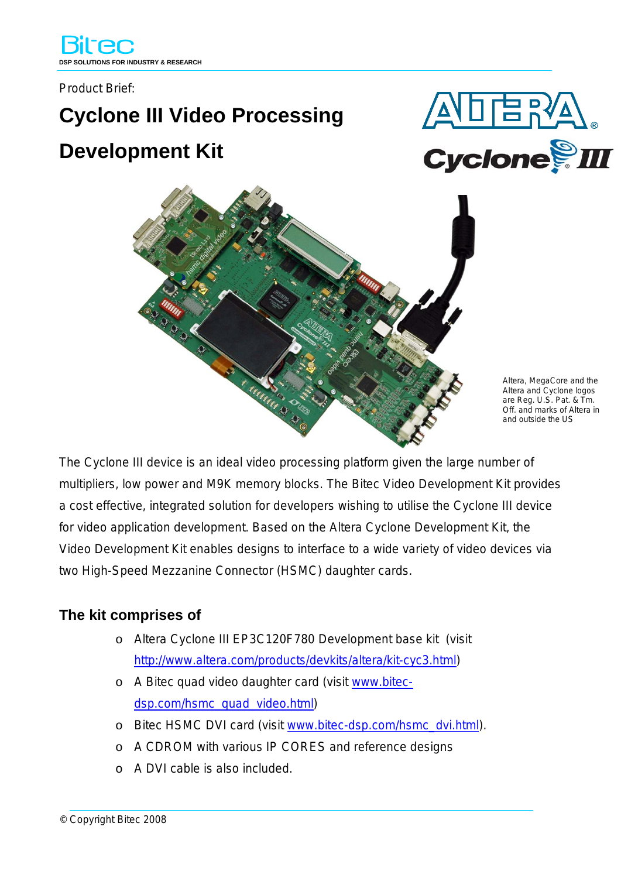Product Brief:

## **Cyclone III Video Processing Development Kit**





Altera, MegaCore and the Altera and Cyclone logos are Reg. U.S. Pat. & Tm. Off. and marks of Altera in and outside the US

The Cyclone III device is an ideal video processing platform given the large number of multipliers, low power and M9K memory blocks. The Bitec Video Development Kit provides a cost effective, integrated solution for developers wishing to utilise the Cyclone III device for video application development. Based on the Altera Cyclone Development Kit, the Video Development Kit enables designs to interface to a wide variety of video devices via two High-Speed Mezzanine Connector (HSMC) daughter cards.

## **The kit comprises of**

- o Altera Cyclone III EP3C120F780 Development base kit (visit [http://www.altera.com/products/devkits/altera/kit-cyc3.html\)](http://www.altera.com/dev-kits)
- o A Bitec quad video daughter card (visit [www.bitec](http://www.bitec-dsp.com/hsmc_quad_video.html)[dsp.com/hsmc\\_quad\\_video.html\)](http://www.bitec-dsp.com/hsmc_quad_video.html)
- o Bitec HSMC DVI card (visit [www.bitec-dsp.com/hsmc\\_dvi.html](http://www.bitec-dsp.com/hsmc_dvi.html)).
- o A CDROM with various IP CORES and reference designs
- o A DVI cable is also included.